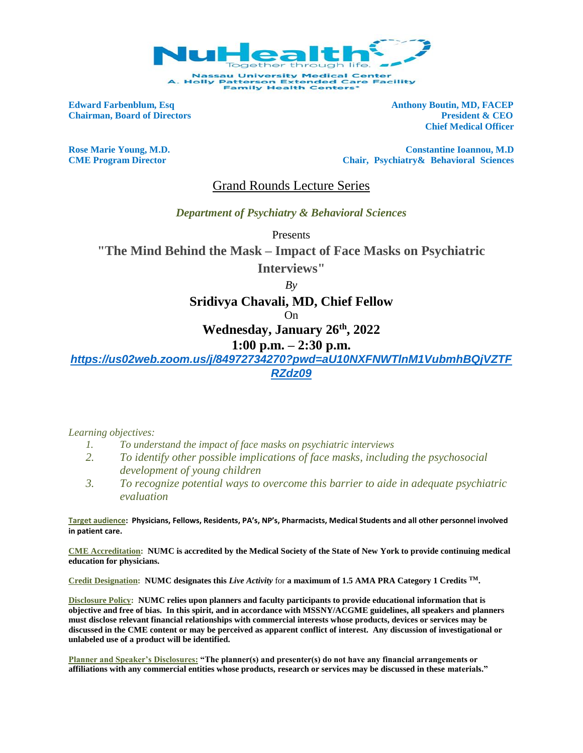

**Edward Farbenblum, Esq Anthony Boutin, MD, FACEP** 

**Chairman, Board of Directors President & CEO Chief Medical Officer** 

**Rose Marie Young, M.D. Constantine Ioannou, M.D CME Program Director Chair, Psychiatry& Behavioral Sciences** 

Grand Rounds Lecture Series

*Department of Psychiatry & Behavioral Sciences*

Presents

**"The Mind Behind the Mask – Impact of Face Masks on Psychiatric** 

**Interviews"**

*By*

**Sridivya Chavali, MD, Chief Fellow**

On

**Wednesday, January 26th, 2022**

## **1:00 p.m. – 2:30 p.m.**

*[https://us02web.zoom.us/j/84972734270?pwd=aU10NXFNWTlnM1VubmhBQjVZTF](https://us02web.zoom.us/j/84972734270?pwd=aU10NXFNWTlnM1VubmhBQjVZTFRZdz09) [RZdz09](https://us02web.zoom.us/j/84972734270?pwd=aU10NXFNWTlnM1VubmhBQjVZTFRZdz09)*

*Learning objectives:*

- *1. To understand the impact of face masks on psychiatric interviews*
- *2. To identify other possible implications of face masks, including the psychosocial development of young children*
- *3. To recognize potential ways to overcome this barrier to aide in adequate psychiatric evaluation*

**Target audience: Physicians, Fellows, Residents, PA's, NP's, Pharmacists, Medical Students and all other personnel involved in patient care.**

**CME Accreditation: NUMC is accredited by the Medical Society of the State of New York to provide continuing medical education for physicians.**

**Credit Designation: NUMC designates this** *Live Activity* for **a maximum of 1.5 AMA PRA Category 1 Credits TM.** 

**Disclosure Policy: NUMC relies upon planners and faculty participants to provide educational information that is objective and free of bias. In this spirit, and in accordance with MSSNY/ACGME guidelines, all speakers and planners must disclose relevant financial relationships with commercial interests whose products, devices or services may be discussed in the CME content or may be perceived as apparent conflict of interest. Any discussion of investigational or unlabeled use of a product will be identified.** 

**Planner and Speaker's Disclosures: "The planner(s) and presenter(s) do not have any financial arrangements or affiliations with any commercial entities whose products, research or services may be discussed in these materials."**